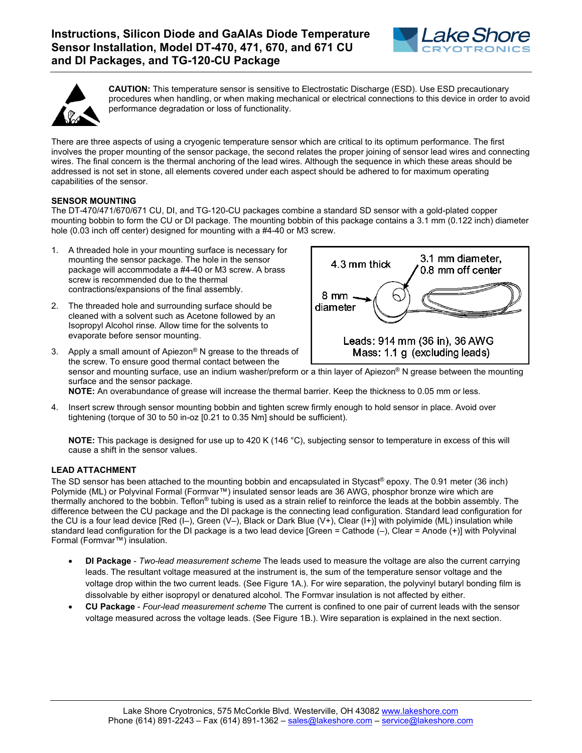



**CAUTION:** This temperature sensor is sensitive to Electrostatic Discharge (ESD). Use ESD precautionary procedures when handling, or when making mechanical or electrical connections to this device in order to avoid performance degradation or loss of functionality.

There are three aspects of using a cryogenic temperature sensor which are critical to its optimum performance. The first involves the proper mounting of the sensor package, the second relates the proper joining of sensor lead wires and connecting wires. The final concern is the thermal anchoring of the lead wires. Although the sequence in which these areas should be addressed is not set in stone, all elements covered under each aspect should be adhered to for maximum operating capabilities of the sensor.

# **SENSOR MOUNTING**

The DT-470/471/670/671 CU, DI, and TG-120-CU packages combine a standard SD sensor with a gold-plated copper mounting bobbin to form the CU or DI package. The mounting bobbin of this package contains a 3.1 mm (0.122 inch) diameter hole (0.03 inch off center) designed for mounting with a #4-40 or M3 screw.

- A threaded hole in your mounting surface is necessary for mounting the sensor package. The hole in the sensor package will accommodate a #4-40 or M3 screw. A brass screw is recommended due to the thermal contractions/expansions of the final assembly.
- 2. The threaded hole and surrounding surface should be cleaned with a solvent such as Acetone followed by an Isopropyl Alcohol rinse. Allow time for the solvents to evaporate before sensor mounting.



3. Apply a small amount of Apiezon® N grease to the threads of the screw. To ensure good thermal contact between the sensor and mounting surface, use an indium washer/preform or a thin layer of Apiezon® N grease between the mounting surface and the sensor package. **NOTE:** An overabundance of grease will increase the thermal barrier. Keep the thickness to 0.05 mm or less.

4. Insert screw through sensor mounting bobbin and tighten screw firmly enough to hold sensor in place. Avoid over tightening (torque of 30 to 50 in-oz [0.21 to 0.35 Nm] should be sufficient).

**NOTE:** This package is designed for use up to 420 K (146 °C), subjecting sensor to temperature in excess of this will cause a shift in the sensor values.

# **LEAD ATTACHMENT**

The SD sensor has been attached to the mounting bobbin and encapsulated in Stycast® epoxy. The 0.91 meter (36 inch) Polymide (ML) or Polyvinal Formal (Formvar™) insulated sensor leads are 36 AWG, phosphor bronze wire which are thermally anchored to the bobbin. Teflon<sup>®</sup> tubing is used as a strain relief to reinforce the leads at the bobbin assembly. The difference between the CU package and the DI package is the connecting lead configuration. Standard lead configuration for the CU is a four lead device [Red (I–), Green (V–), Black or Dark Blue (V+), Clear (I+)] with polyimide (ML) insulation while standard lead configuration for the DI package is a two lead device [Green = Cathode (–), Clear = Anode (+)] with Polyvinal Formal (Formvar™) insulation.

- **DI Package** *Two-lead measurement scheme* The leads used to measure the voltage are also the current carrying leads. The resultant voltage measured at the instrument is, the sum of the temperature sensor voltage and the voltage drop within the two current leads. (See Figure 1A.). For wire separation, the polyvinyl butaryl bonding film is dissolvable by either isopropyl or denatured alcohol. The Formvar insulation is not affected by either.
- **CU Package** *Four-lead measurement scheme* The current is confined to one pair of current leads with the sensor voltage measured across the voltage leads. (See Figure 1B.). Wire separation is explained in the next section.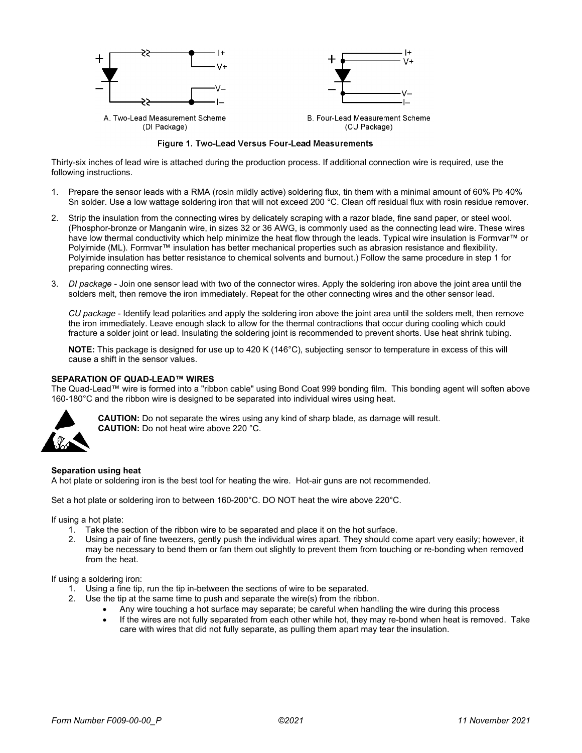

Figure 1. Two-Lead Versus Four-Lead Measurements

Thirty-six inches of lead wire is attached during the production process. If additional connection wire is required, use the following instructions.

- 1. Prepare the sensor leads with a RMA (rosin mildly active) soldering flux, tin them with a minimal amount of 60% Pb 40% Sn solder. Use a low wattage soldering iron that will not exceed 200 °C. Clean off residual flux with rosin residue remover.
- 2. Strip the insulation from the connecting wires by delicately scraping with a razor blade, fine sand paper, or steel wool. (Phosphor-bronze or Manganin wire, in sizes 32 or 36 AWG, is commonly used as the connecting lead wire. These wires have low thermal conductivity which help minimize the heat flow through the leads. Typical wire insulation is Formvar™ or Polyimide (ML). Formvar™ insulation has better mechanical properties such as abrasion resistance and flexibility. Polyimide insulation has better resistance to chemical solvents and burnout.) Follow the same procedure in step 1 for preparing connecting wires.
- 3. *DI package* Join one sensor lead with two of the connector wires. Apply the soldering iron above the joint area until the solders melt, then remove the iron immediately. Repeat for the other connecting wires and the other sensor lead.

*CU package* - Identify lead polarities and apply the soldering iron above the joint area until the solders melt, then remove the iron immediately. Leave enough slack to allow for the thermal contractions that occur during cooling which could fracture a solder joint or lead. Insulating the soldering joint is recommended to prevent shorts. Use heat shrink tubing.

**NOTE:** This package is designed for use up to 420 K (146°C), subjecting sensor to temperature in excess of this will cause a shift in the sensor values.

#### **SEPARATION OF QUAD-LEAD™ WIRES**

The Quad-Lead™ wire is formed into a "ribbon cable" using Bond Coat 999 bonding film. This bonding agent will soften above 160-180°C and the ribbon wire is designed to be separated into individual wires using heat.



**CAUTION:** Do not separate the wires using any kind of sharp blade, as damage will result. **CAUTION:** Do not heat wire above 220 °C.

#### **Separation using heat**

A hot plate or soldering iron is the best tool for heating the wire. Hot-air guns are not recommended.

Set a hot plate or soldering iron to between 160-200°C. DO NOT heat the wire above 220°C.

If using a hot plate:

- 1. Take the section of the ribbon wire to be separated and place it on the hot surface.
- 2. Using a pair of fine tweezers, gently push the individual wires apart. They should come apart very easily; however, it may be necessary to bend them or fan them out slightly to prevent them from touching or re-bonding when removed from the heat.

### If using a soldering iron:

- 1. Using a fine tip, run the tip in-between the sections of wire to be separated.
- 2. Use the tip at the same time to push and separate the wire(s) from the ribbon.
	- Any wire touching a hot surface may separate; be careful when handling the wire during this process
	- If the wires are not fully separated from each other while hot, they may re-bond when heat is removed. Take care with wires that did not fully separate, as pulling them apart may tear the insulation.